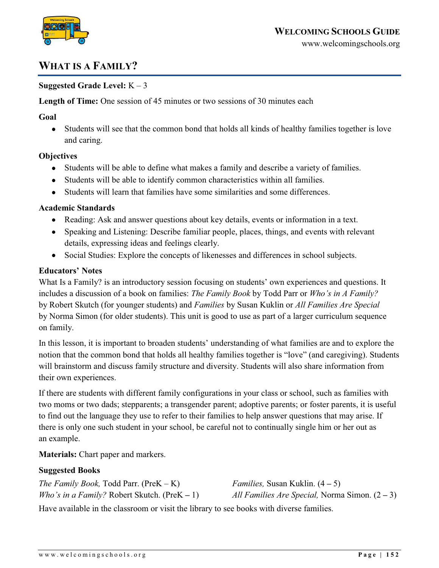

# **WHAT IS A FAMILY?**

## **Suggested Grade Level:** K – 3

**Length of Time:** One session of 45 minutes or two sessions of 30 minutes each

#### **Goal**

Students will see that the common bond that holds all kinds of healthy families together is love  $\bullet$ and caring.

#### **Objectives**

- Students will be able to define what makes a family and describe a variety of families.
- Students will be able to identify common characteristics within all families.  $\bullet$
- Students will learn that families have some similarities and some differences.  $\bullet$

## **Academic Standards**

- Reading: Ask and answer questions about key details, events or information in a text.
- Speaking and Listening: Describe familiar people, places, things, and events with relevant details, expressing ideas and feelings clearly.
- $\bullet$ Social Studies: Explore the concepts of likenesses and differences in school subjects.

## **Educators' Notes**

What Is a Family? is an introductory session focusing on students' own experiences and questions. It includes a discussion of a book on families: *The Family Book* by Todd Parr or *Who's in A Family?* by Robert Skutch (for younger students) and *Families* by Susan Kuklin or *All Families Are Special* by Norma Simon (for older students). This unit is good to use as part of a larger curriculum sequence on family.

In this lesson, it is important to broaden students' understanding of what families are and to explore the notion that the common bond that holds all healthy families together is "love" (and caregiving). Students will brainstorm and discuss family structure and diversity. Students will also share information from their own experiences.

If there are students with different family configurations in your class or school, such as families with two moms or two dads; stepparents; a transgender parent; adoptive parents; or foster parents, it is useful to find out the language they use to refer to their families to help answer questions that may arise. If there is only one such student in your school, be careful not to continually single him or her out as an example.

**Materials:** Chart paper and markers.

#### **Suggested Books**

| The Family Book, Todd Parr. (Pre $K - K$ )       | <i>Families,</i> Susan Kuklin. $(4-5)$         |
|--------------------------------------------------|------------------------------------------------|
| Who's in a Family? Robert Skutch. (Pre $K - 1$ ) | All Families Are Special, Norma Simon. $(2-3)$ |

Have available in the classroom or visit the library to see books with diverse families.